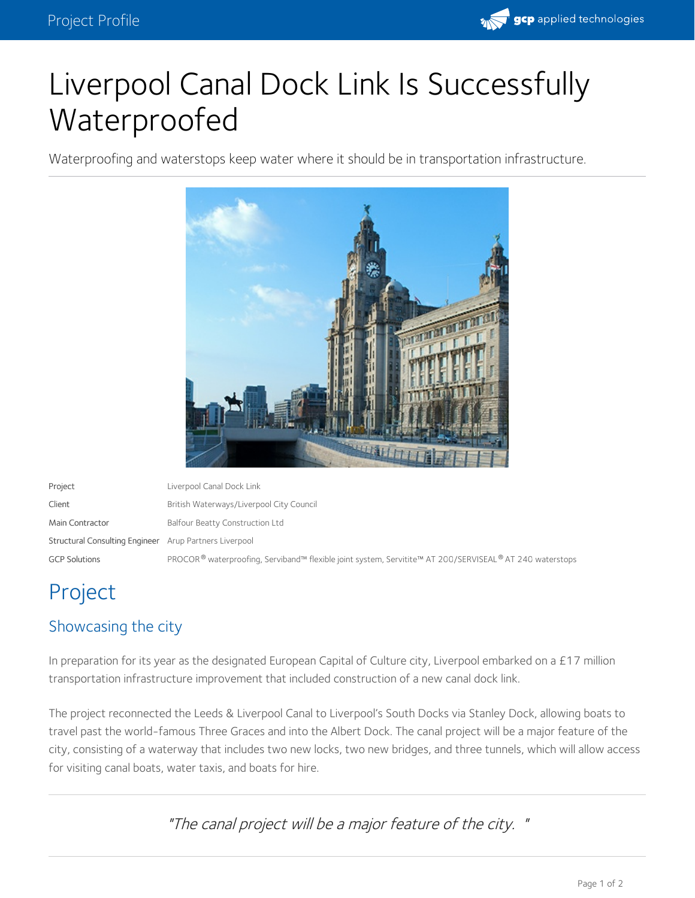

# Liverpool Canal Dock Link Is Successfully Waterproofed

Waterproofing and waterstops keep water where it should be in transportation infrastructure.



Project Liverpool Canal Dock Link Client **Client** British Waterways/Liverpool City Council Main Contractor **Balfour Beatty Construction Ltd** Structural Consulting Engineer Arup Partners Liverpool GCP Solutions PROCOR® waterproofing, Serviband™ flexible joint system, Servitite™ AT 200/SERVISEAL® AT 240 waterstops ®

## Project

### Showcasing the city

In preparation for its year as the designated European Capital of Culture city, Liverpool embarked on a £17 million transportation infrastructure improvement that included construction of a new canal dock link.

The project reconnected the Leeds & Liverpool Canal to Liverpool's South Docks via Stanley Dock, allowing boats to travel past the world-famous Three Graces and into the Albert Dock. The canal project will be a major feature of the city, consisting of a waterway that includes two new locks, two new bridges, and three tunnels, which will allow access for visiting canal boats, water taxis, and boats for hire.

"The canal project will be <sup>a</sup> major feature of the city. "